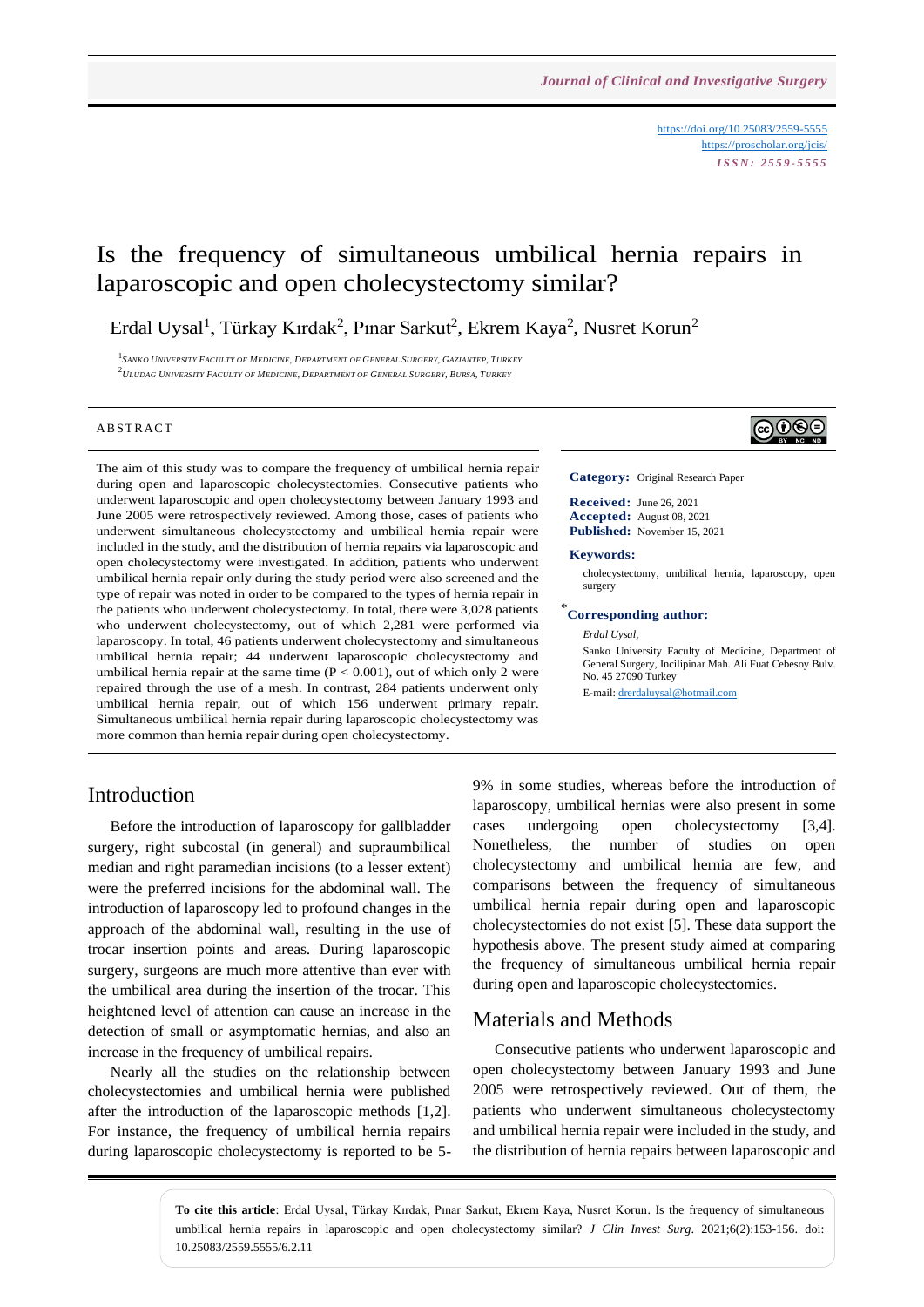<https://doi.org/10.25083/2559-5555> <https://proscholar.org/jcis/> *I S S N : 2 5 5 9 - 5 5 5 5*

## Is the frequency of simultaneous umbilical hernia repairs in laparoscopic and open cholecystectomy similar?

Erdal Uysal<sup>1</sup>, Türkay Kırdak<sup>2</sup>, Pınar Sarkut<sup>2</sup>, Ekrem Kaya<sup>2</sup>, Nusret Korun<sup>2</sup>

<sup>1</sup> SANKO UNIVERSITY FACULTY OF MEDICINE, DEPARTMENT OF GENERAL SURGERY, GAZIANTEP, TURKEY  $^2$ ULUDAG UNIVERSITY FACULTY OF MEDICINE, DEPARTMENT OF GENERAL SURGERY, BURSA, TURKEY

#### A B STR ACT

The aim of this study was to compare the frequency of umbilical hernia repair during open and laparoscopic cholecystectomies. Consecutive patients who underwent laparoscopic and open cholecystectomy between January 1993 and June 2005 were retrospectively reviewed. Among those, cases of patients who underwent simultaneous cholecystectomy and umbilical hernia repair were included in the study, and the distribution of hernia repairs via laparoscopic and open cholecystectomy were investigated. In addition, patients who underwent umbilical hernia repair only during the study period were also screened and the type of repair was noted in order to be compared to the types of hernia repair in the patients who underwent cholecystectomy. In total, there were 3,028 patients who underwent cholecystectomy, out of which 2,281 were performed via laparoscopy. In total, 46 patients underwent cholecystectomy and simultaneous umbilical hernia repair; 44 underwent laparoscopic cholecystectomy and umbilical hernia repair at the same time  $(P < 0.001)$ , out of which only 2 were repaired through the use of a mesh. In contrast, 284 patients underwent only umbilical hernia repair, out of which 156 underwent primary repair. Simultaneous umbilical hernia repair during laparoscopic cholecystectomy was more common than hernia repair during open cholecystectomy.

# <u> (@0®©</u>

**Category:** Original Research Paper

**Received:** June 26, 2021 **Accepted:** August 08, 2021 **Published:** November 15, 2021

#### **Keywords:**

cholecystectomy, umbilical hernia, laparoscopy, open surgery

#### \* **Corresponding author:**

*Erdal Uysal,*

Sanko University Faculty of Medicine, Department of General Surgery, Incilipinar Mah. Ali Fuat Cebesoy Bulv. No. 45 27090 Turkey

E-mail: [drerdaluysal@hotmail.com](mailto:drerdaluysal@hotmail.com)

#### Introduction

Before the introduction of laparoscopy for gallbladder surgery, right subcostal (in general) and supraumbilical median and right paramedian incisions (to a lesser extent) were the preferred incisions for the abdominal wall. The introduction of laparoscopy led to profound changes in the approach of the abdominal wall, resulting in the use of trocar insertion points and areas. During laparoscopic surgery, surgeons are much more attentive than ever with the umbilical area during the insertion of the trocar. This heightened level of attention can cause an increase in the detection of small or asymptomatic hernias, and also an increase in the frequency of umbilical repairs.

Nearly all the studies on the relationship between cholecystectomies and umbilical hernia were published after the introduction of the laparoscopic methods [1,2]. For instance, the frequency of umbilical hernia repairs during laparoscopic cholecystectomy is reported to be 59% in some studies, whereas before the introduction of laparoscopy, umbilical hernias were also present in some cases undergoing open cholecystectomy [3,4]. Nonetheless, the number of studies on open cholecystectomy and umbilical hernia are few, and comparisons between the frequency of simultaneous umbilical hernia repair during open and laparoscopic cholecystectomies do not exist [5]. These data support the hypothesis above. The present study aimed at comparing the frequency of simultaneous umbilical hernia repair during open and laparoscopic cholecystectomies.

#### Materials and Methods

Consecutive patients who underwent laparoscopic and open cholecystectomy between January 1993 and June 2005 were retrospectively reviewed. Out of them, the patients who underwent simultaneous cholecystectomy and umbilical hernia repair were included in the study, and the distribution of hernia repairs between laparoscopic and

**To cite this article**: Erdal Uysal, Türkay Kırdak, Pınar Sarkut, Ekrem Kaya, Nusret Korun. Is the frequency of simultaneous umbilical hernia repairs in laparoscopic and open cholecystectomy similar? *J Clin Invest Surg*. 2021;6(2):153-156. doi: 10.25083/2559.5555/6.2.11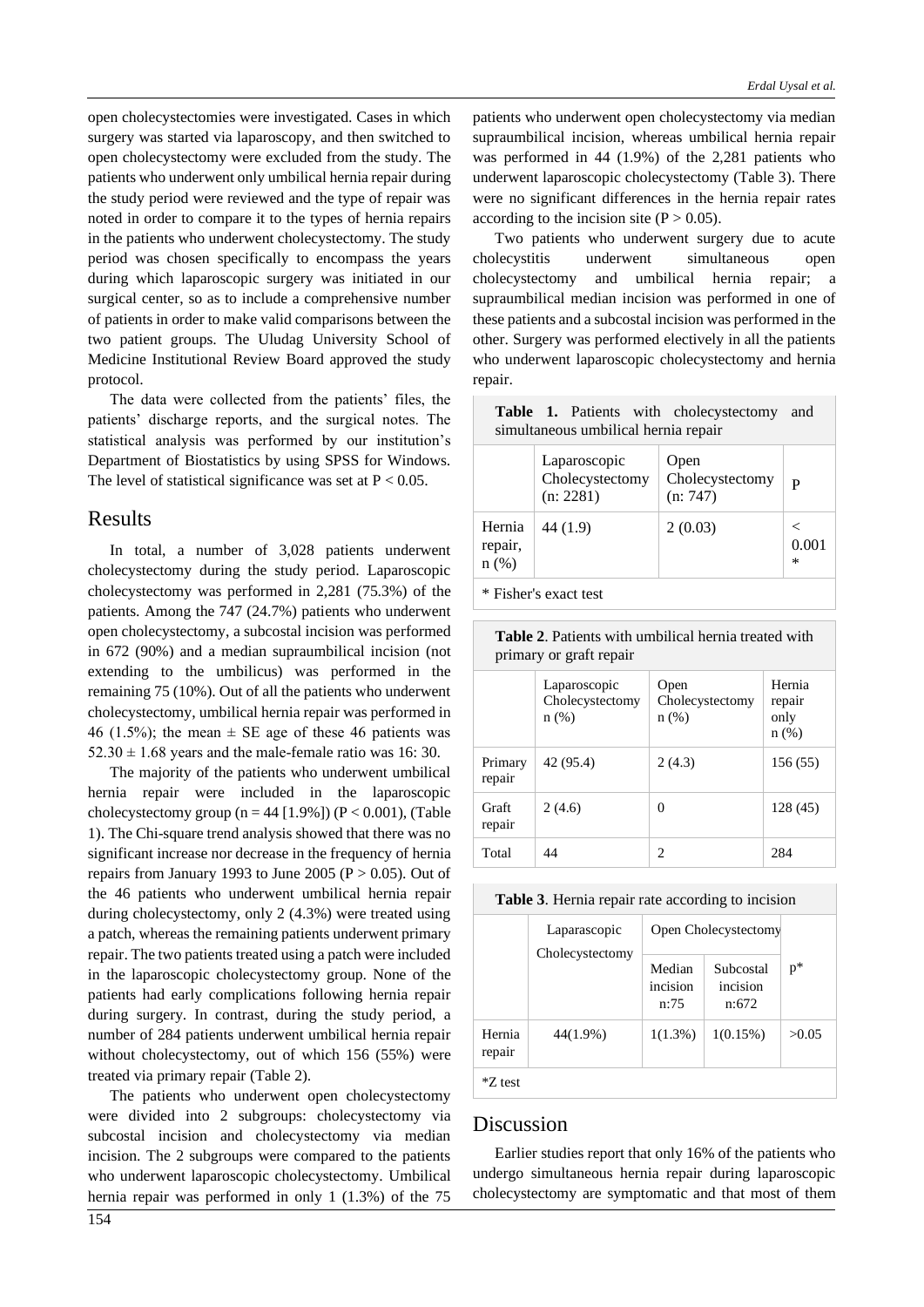open cholecystectomies were investigated. Cases in which surgery was started via laparoscopy, and then switched to open cholecystectomy were excluded from the study. The patients who underwent only umbilical hernia repair during the study period were reviewed and the type of repair was noted in order to compare it to the types of hernia repairs in the patients who underwent cholecystectomy. The study period was chosen specifically to encompass the years during which laparoscopic surgery was initiated in our surgical center, so as to include a comprehensive number of patients in order to make valid comparisons between the two patient groups. The Uludag University School of Medicine Institutional Review Board approved the study protocol.

The data were collected from the patients' files, the patients' discharge reports, and the surgical notes. The statistical analysis was performed by our institution's Department of Biostatistics by using SPSS for Windows. The level of statistical significance was set at  $P < 0.05$ .

#### Results

In total, a number of 3,028 patients underwent cholecystectomy during the study period. Laparoscopic cholecystectomy was performed in 2,281 (75.3%) of the patients. Among the 747 (24.7%) patients who underwent open cholecystectomy, a subcostal incision was performed in 672 (90%) and a median supraumbilical incision (not extending to the umbilicus) was performed in the remaining 75 (10%). Out of all the patients who underwent cholecystectomy, umbilical hernia repair was performed in 46 (1.5%); the mean  $\pm$  SE age of these 46 patients was  $52.30 \pm 1.68$  years and the male-female ratio was 16: 30.

The majority of the patients who underwent umbilical hernia repair were included in the laparoscopic cholecystectomy group ( $n = 44$  [1.9%]) ( $P < 0.001$ ), (Table 1). The Chi-square trend analysis showed that there was no significant increase nor decrease in the frequency of hernia repairs from January 1993 to June 2005 ( $P > 0.05$ ). Out of the 46 patients who underwent umbilical hernia repair during cholecystectomy, only 2 (4.3%) were treated using a patch, whereas the remaining patients underwent primary repair. The two patients treated using a patch were included in the laparoscopic cholecystectomy group. None of the patients had early complications following hernia repair during surgery. In contrast, during the study period, a number of 284 patients underwent umbilical hernia repair without cholecystectomy, out of which 156 (55%) were treated via primary repair (Table 2).

The patients who underwent open cholecystectomy were divided into 2 subgroups: cholecystectomy via subcostal incision and cholecystectomy via median incision. The 2 subgroups were compared to the patients who underwent laparoscopic cholecystectomy. Umbilical hernia repair was performed in only 1 (1.3%) of the 75 patients who underwent open cholecystectomy via median supraumbilical incision, whereas umbilical hernia repair was performed in 44 (1.9%) of the 2,281 patients who underwent laparoscopic cholecystectomy (Table 3). There were no significant differences in the hernia repair rates according to the incision site  $(P > 0.05)$ .

Two patients who underwent surgery due to acute cholecystitis underwent simultaneous open cholecystectomy and umbilical hernia repair; a supraumbilical median incision was performed in one of these patients and a subcostal incision was performed in the other. Surgery was performed electively in all the patients who underwent laparoscopic cholecystectomy and hernia repair.

| Table 1. Patients with cholecystectomy<br>and<br>simultaneous umbilical hernia repair |                                              |                                     |            |  |  |  |
|---------------------------------------------------------------------------------------|----------------------------------------------|-------------------------------------|------------|--|--|--|
|                                                                                       | Laparoscopic<br>Cholecystectomy<br>(n: 2281) | Open<br>Cholecystectomy<br>(n: 747) | P          |  |  |  |
| Hernia<br>repair,<br>$n(\%)$                                                          | 44 (1.9)                                     | 2(0.03)                             | 0.001<br>∗ |  |  |  |
| * Fisher's exact test                                                                 |                                              |                                     |            |  |  |  |

**Table 2**. Patients with umbilical hernia treated with primary or graft repair

|                   | Laparoscopic<br>Cholecystectomy<br>n(%) | Open<br>Cholecystectomy<br>$n(\%)$ | Hernia<br>repair<br>only<br>$n$ (%) |  |  |
|-------------------|-----------------------------------------|------------------------------------|-------------------------------------|--|--|
| Primary<br>repair | 42 (95.4)                               | 2(4.3)                             | 156(55)                             |  |  |
| Graft<br>repair   | 2(4.6)                                  | $\theta$                           | 128 (45)                            |  |  |
| Total             | 44                                      | 2                                  | 284                                 |  |  |

|                  | Laparascopic<br>Cholecystectomy | Open Cholecystectomy       |                                |       |
|------------------|---------------------------------|----------------------------|--------------------------------|-------|
|                  |                                 | Median<br>incision<br>n:75 | Subcostal<br>incision<br>n:672 | p*    |
| Hernia<br>repair | 44(1.9%)                        | $1(1.3\%)$                 | $1(0.15\%)$                    | >0.05 |
| *Z test          |                                 |                            |                                |       |

#### Discussion

Earlier studies report that only 16% of the patients who undergo simultaneous hernia repair during laparoscopic cholecystectomy are symptomatic and that most of them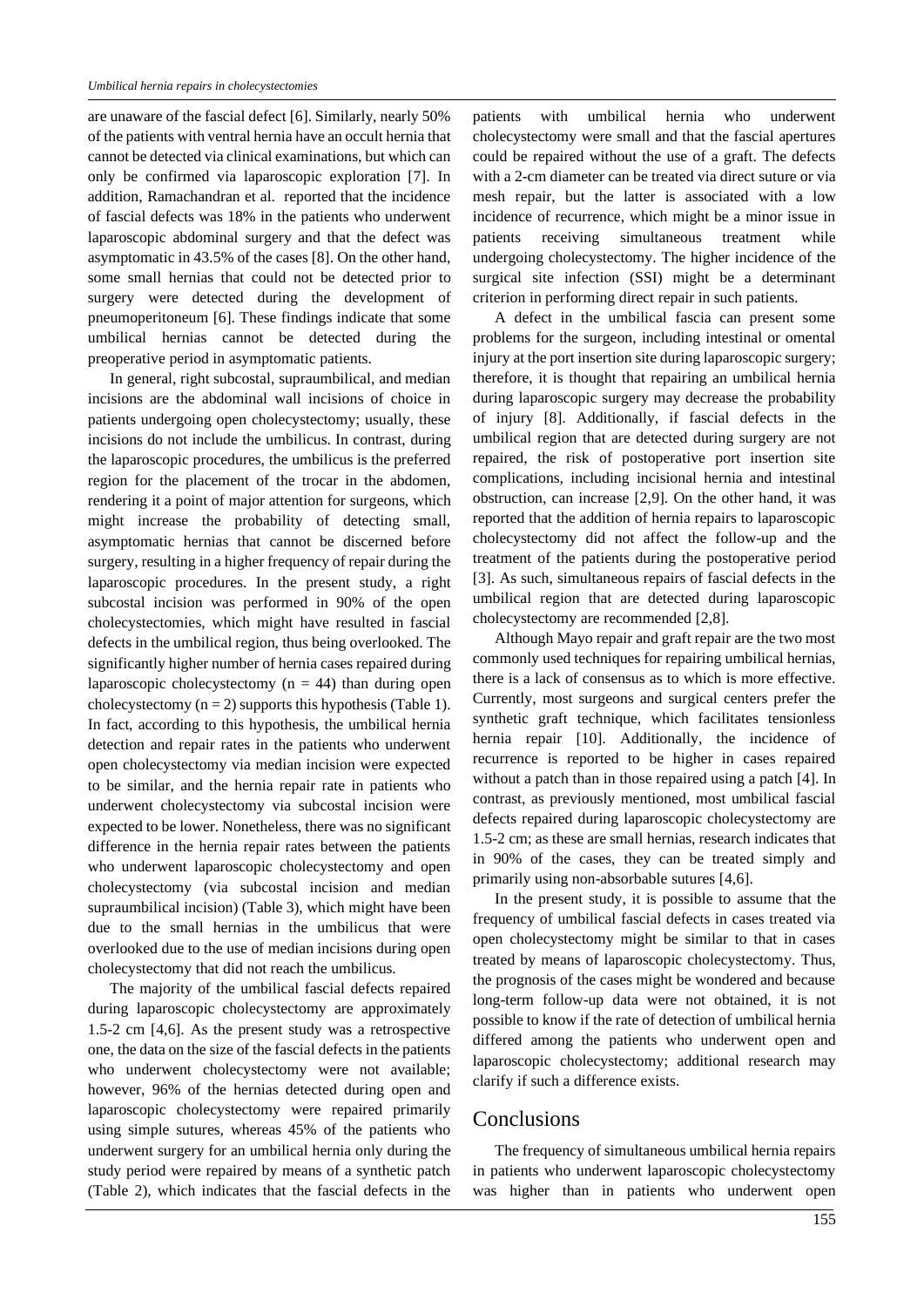are unaware of the fascial defect [6]. Similarly, nearly 50% of the patients with ventral hernia have an occult hernia that cannot be detected via clinical examinations, but which can only be confirmed via laparoscopic exploration [7]. In addition, Ramachandran et al. reported that the incidence of fascial defects was 18% in the patients who underwent laparoscopic abdominal surgery and that the defect was asymptomatic in 43.5% of the cases [8]. On the other hand, some small hernias that could not be detected prior to surgery were detected during the development of pneumoperitoneum [6]. These findings indicate that some umbilical hernias cannot be detected during the preoperative period in asymptomatic patients.

In general, right subcostal, supraumbilical, and median incisions are the abdominal wall incisions of choice in patients undergoing open cholecystectomy; usually, these incisions do not include the umbilicus. In contrast, during the laparoscopic procedures, the umbilicus is the preferred region for the placement of the trocar in the abdomen, rendering it a point of major attention for surgeons, which might increase the probability of detecting small, asymptomatic hernias that cannot be discerned before surgery, resulting in a higher frequency of repair during the laparoscopic procedures. In the present study, a right subcostal incision was performed in 90% of the open cholecystectomies, which might have resulted in fascial defects in the umbilical region, thus being overlooked. The significantly higher number of hernia cases repaired during laparoscopic cholecystectomy  $(n = 44)$  than during open cholecystectomy  $(n = 2)$  supports this hypothesis (Table 1). In fact, according to this hypothesis, the umbilical hernia detection and repair rates in the patients who underwent open cholecystectomy via median incision were expected to be similar, and the hernia repair rate in patients who underwent cholecystectomy via subcostal incision were expected to be lower. Nonetheless, there was no significant difference in the hernia repair rates between the patients who underwent laparoscopic cholecystectomy and open cholecystectomy (via subcostal incision and median supraumbilical incision) (Table 3), which might have been due to the small hernias in the umbilicus that were overlooked due to the use of median incisions during open cholecystectomy that did not reach the umbilicus.

The majority of the umbilical fascial defects repaired during laparoscopic cholecystectomy are approximately 1.5-2 cm [4,6]. As the present study was a retrospective one, the data on the size of the fascial defects in the patients who underwent cholecystectomy were not available; however, 96% of the hernias detected during open and laparoscopic cholecystectomy were repaired primarily using simple sutures, whereas 45% of the patients who underwent surgery for an umbilical hernia only during the study period were repaired by means of a synthetic patch (Table 2), which indicates that the fascial defects in the

patients with umbilical hernia who underwent cholecystectomy were small and that the fascial apertures could be repaired without the use of a graft. The defects with a 2-cm diameter can be treated via direct suture or via mesh repair, but the latter is associated with a low incidence of recurrence, which might be a minor issue in patients receiving simultaneous treatment while undergoing cholecystectomy. The higher incidence of the surgical site infection (SSI) might be a determinant criterion in performing direct repair in such patients.

A defect in the umbilical fascia can present some problems for the surgeon, including intestinal or omental injury at the port insertion site during laparoscopic surgery; therefore, it is thought that repairing an umbilical hernia during laparoscopic surgery may decrease the probability of injury [8]. Additionally, if fascial defects in the umbilical region that are detected during surgery are not repaired, the risk of postoperative port insertion site complications, including incisional hernia and intestinal obstruction, can increase [2,9]. On the other hand, it was reported that the addition of hernia repairs to laparoscopic cholecystectomy did not affect the follow-up and the treatment of the patients during the postoperative period [3]. As such, simultaneous repairs of fascial defects in the umbilical region that are detected during laparoscopic cholecystectomy are recommended [2,8].

Although Mayo repair and graft repair are the two most commonly used techniques for repairing umbilical hernias, there is a lack of consensus as to which is more effective. Currently, most surgeons and surgical centers prefer the synthetic graft technique, which facilitates tensionless hernia repair [10]. Additionally, the incidence of recurrence is reported to be higher in cases repaired without a patch than in those repaired using a patch [4]. In contrast, as previously mentioned, most umbilical fascial defects repaired during laparoscopic cholecystectomy are 1.5-2 cm; as these are small hernias, research indicates that in 90% of the cases, they can be treated simply and primarily using non-absorbable sutures [4,6].

In the present study, it is possible to assume that the frequency of umbilical fascial defects in cases treated via open cholecystectomy might be similar to that in cases treated by means of laparoscopic cholecystectomy. Thus, the prognosis of the cases might be wondered and because long-term follow-up data were not obtained, it is not possible to know if the rate of detection of umbilical hernia differed among the patients who underwent open and laparoscopic cholecystectomy; additional research may clarify if such a difference exists.

#### Conclusions

The frequency of simultaneous umbilical hernia repairs in patients who underwent laparoscopic cholecystectomy was higher than in patients who underwent open